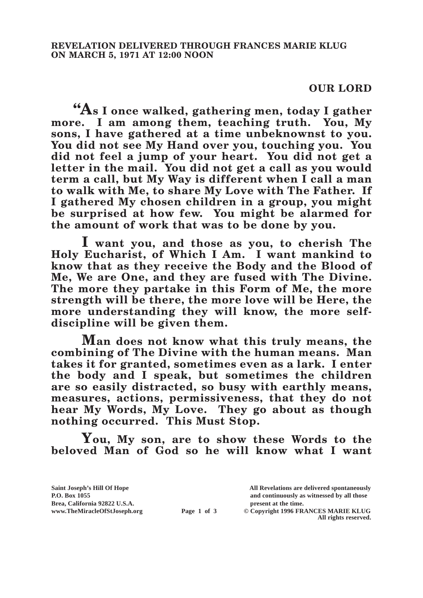## **OUR LORD**

**"As I once walked, gathering men, today I gather more. I am among them, teaching truth. You, My sons, I have gathered at a time unbeknownst to you. You did not see My Hand over you, touching you. You did not feel a jump of your heart. You did not get a letter in the mail. You did not get a call as you would term a call, but My Way is different when I call a man to walk with Me, to share My Love with The Father. If I gathered My chosen children in a group, you might be surprised at how few. You might be alarmed for the amount of work that was to be done by you.**

**I want you, and those as you, to cherish The Holy Eucharist, of Which I Am. I want mankind to know that as they receive the Body and the Blood of Me, We are One, and they are fused with The Divine. The more they partake in this Form of Me, the more strength will be there, the more love will be Here, the more understanding they will know, the more selfdiscipline will be given them.**

**Man does not know what this truly means, the combining of The Divine with the human means. Man takes it for granted, sometimes even as a lark. I enter the body and I speak, but sometimes the children are so easily distracted, so busy with earthly means, measures, actions, permissiveness, that they do not hear My Words, My Love. They go about as though nothing occurred. This Must Stop.**

**You, My son, are to show these Words to the beloved Man of God so he will know what I want** 

**Saint Joseph's Hill Of Hope All Revelations are delivered spontaneously P.O. Box 1055 and continuously as witnessed by all those Brea, California 92822 U.S.A. present at the time.**<br> **present at the time.**<br> **present at the time.**<br> **Page 1 of 3** © Copyright 1996 FR.

**Page 1 of 3** © Copyright 1996 FRANCES MARIE KLUG

**All rights reserved.**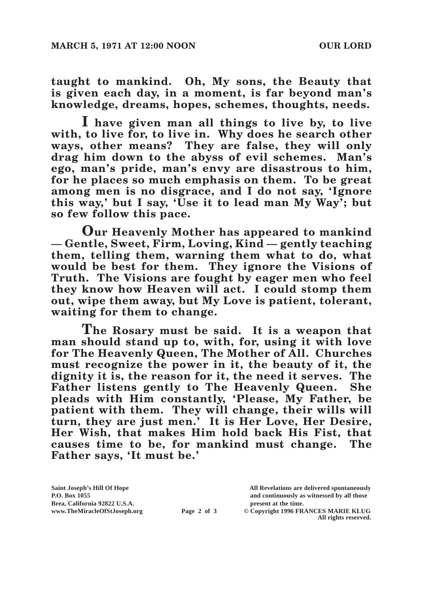**taught to mankind. Oh, My sons, the Beauty that is given each day, in a moment, is far beyond man's knowledge, dreams, hopes, schemes, thoughts, needs.**

**I have given man all things to live by, to live with, to live for, to live in. Why does he search other ways, other means? They are false, they will only drag him down to the abyss of evil schemes. Man's ego, man's pride, man's envy are disastrous to him, for he places so much emphasis on them. To be great among men is no disgrace, and I do not say, 'Ignore this way,' but I say, 'Use it to lead man My Way'; but so few follow this pace.**

**Our Heavenly Mother has appeared to mankind — Gentle, Sweet, Firm, Loving, Kind — gently teaching them, telling them, warning them what to do, what would be best for them. They ignore the Visions of Truth. The Visions are fought by eager men who feel they know how Heaven will act. I could stomp them out, wipe them away, but My Love is patient, tolerant, waiting for them to change.**

**The Rosary must be said. It is a weapon that man should stand up to, with, for, using it with love for The Heavenly Queen, The Mother of All. Churches must recognize the power in it, the beauty of it, the dignity it is, the reason for it, the need it serves. The Father listens gently to The Heavenly Queen. She pleads with Him constantly, 'Please, My Father, be patient with them. They will change, their wills will turn, they are just men.' It is Her Love, Her Desire, Her Wish, that makes Him hold back His Fist, that causes time to be, for mankind must change. The Father says, 'It must be.'**

Brea, California 92822 U.S.A.<br>
www.TheMiracleOfStJoseph.org<br> **Page 2 of 3** © Copyright 1996 FR.

**Saint Joseph's Hill Of Hope All Revelations are delivered spontaneously P.O. Box 1055 and continuously as witnessed by all those** 

**Page 2 of 3** © Copyright 1996 FRANCES MARIE KLUG **All rights reserved.**